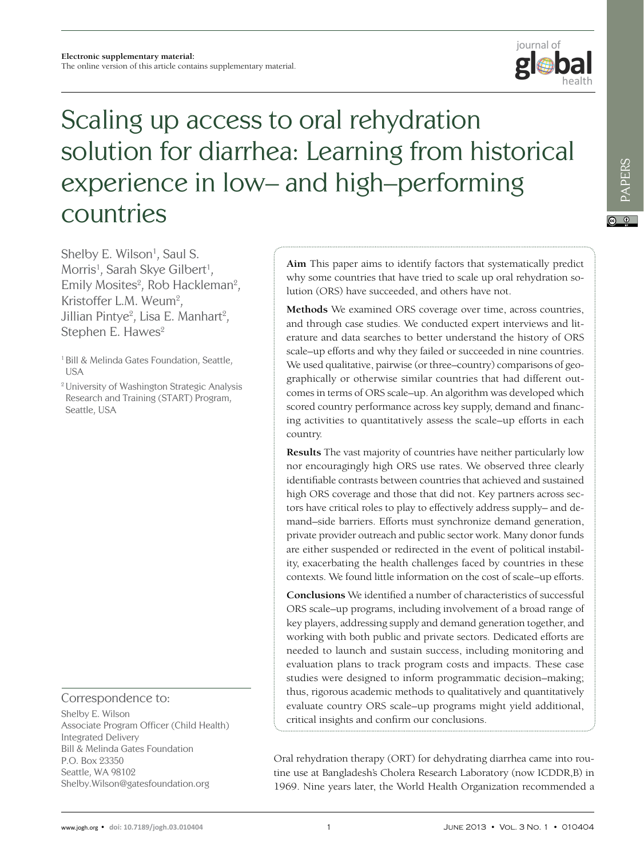

# Scaling up access to oral rehydration solution for diarrhea: Learning from historical experience in low– and high–performing countries

Shelby E. Wilson<sup>1</sup>, Saul S. Morris<sup>1</sup>, Sarah Skye Gilbert<sup>1</sup>, Emily Mosites<sup>2</sup>, Rob Hackleman<sup>2</sup>, Kristoffer L.M. Weum<sup>2</sup>, Jillian Pintye<sup>2</sup>, Lisa E. Manhart<sup>2</sup>, Stephen E. Hawes<sup>2</sup>

<sup>1</sup> Bill & Melinda Gates Foundation, Seattle, USA

2 University of Washington Strategic Analysis Research and Training (START) Program, Seattle, USA

Correspondence to:

Shelby E. Wilson Associate Program Officer (Child Health) Integrated Delivery Bill & Melinda Gates Foundation P.O. Box 23350 Seattle, WA 98102 Shelby.Wilson@gatesfoundation.org

**Aim** This paper aims to identify factors that systematically predict why some countries that have tried to scale up oral rehydration solution (ORS) have succeeded, and others have not.

**Methods** We examined ORS coverage over time, across countries, and through case studies. We conducted expert interviews and literature and data searches to better understand the history of ORS scale–up efforts and why they failed or succeeded in nine countries. We used qualitative, pairwise (or three–country) comparisons of geographically or otherwise similar countries that had different outcomes in terms of ORS scale–up. An algorithm was developed which scored country performance across key supply, demand and financing activities to quantitatively assess the scale–up efforts in each country.

**Results** The vast majority of countries have neither particularly low nor encouragingly high ORS use rates. We observed three clearly identifiable contrasts between countries that achieved and sustained high ORS coverage and those that did not. Key partners across sectors have critical roles to play to effectively address supply– and demand–side barriers. Efforts must synchronize demand generation, private provider outreach and public sector work. Many donor funds are either suspended or redirected in the event of political instability, exacerbating the health challenges faced by countries in these contexts. We found little information on the cost of scale–up efforts.

**Conclusions** We identified a number of characteristics of successful ORS scale–up programs, including involvement of a broad range of key players, addressing supply and demand generation together, and working with both public and private sectors. Dedicated efforts are needed to launch and sustain success, including monitoring and evaluation plans to track program costs and impacts. These case studies were designed to inform programmatic decision–making; thus, rigorous academic methods to qualitatively and quantitatively evaluate country ORS scale–up programs might yield additional, critical insights and confirm our conclusions.

Oral rehydration therapy (ORT) for dehydrating diarrhea came into routine use at Bangladesh's Cholera Research Laboratory (now ICDDR,B) in 1969. Nine years later, the World Health Organization recommended a

PAPERS

**PAPERS**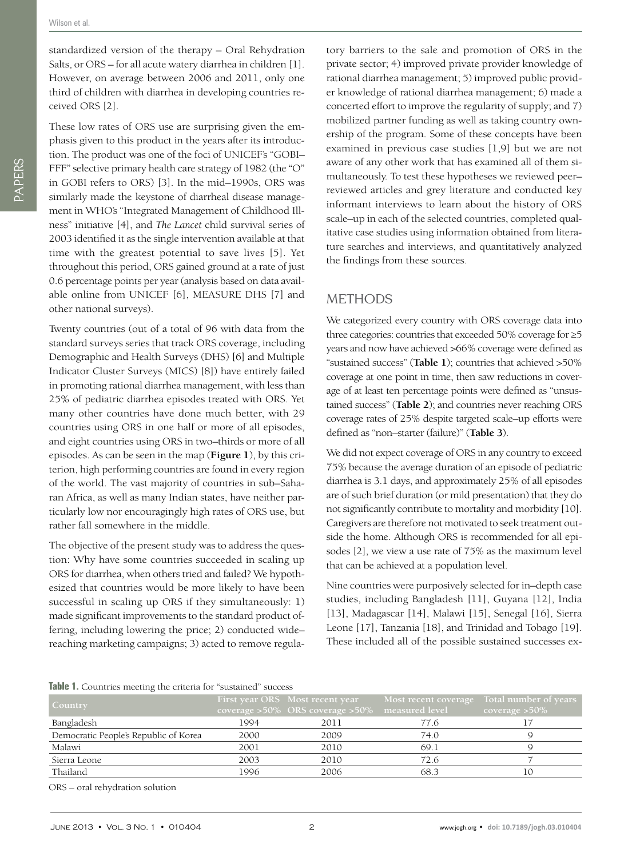standardized version of the therapy – Oral Rehydration Salts, or ORS – for all acute watery diarrhea in children [1]. However, on average between 2006 and 2011, only one third of children with diarrhea in developing countries received ORS [2].

These low rates of ORS use are surprising given the emphasis given to this product in the years after its introduction. The product was one of the foci of UNICEF's "GOBI– FFF" selective primary health care strategy of 1982 (the "O" in GOBI refers to ORS) [3]. In the mid–1990s, ORS was similarly made the keystone of diarrheal disease management in WHO's "Integrated Management of Childhood Illness" initiative [4], and *The Lancet* child survival series of 2003 identified it as the single intervention available at that time with the greatest potential to save lives [5]. Yet throughout this period, ORS gained ground at a rate of just 0.6 percentage points per year (analysis based on data available online from UNICEF [6], MEASURE DHS [7] and other national surveys).

Twenty countries (out of a total of 96 with data from the standard surveys series that track ORS coverage, including Demographic and Health Surveys (DHS) [6] and Multiple Indicator Cluster Surveys (MICS) [8]) have entirely failed in promoting rational diarrhea management, with less than 25% of pediatric diarrhea episodes treated with ORS. Yet many other countries have done much better, with 29 countries using ORS in one half or more of all episodes, and eight countries using ORS in two–thirds or more of all episodes. As can be seen in the map (**Figure 1**), by this criterion, high performing countries are found in every region of the world. The vast majority of countries in sub–Saharan Africa, as well as many Indian states, have neither particularly low nor encouragingly high rates of ORS use, but rather fall somewhere in the middle.

The objective of the present study was to address the question: Why have some countries succeeded in scaling up ORS for diarrhea, when others tried and failed? We hypothesized that countries would be more likely to have been successful in scaling up ORS if they simultaneously: 1) made significant improvements to the standard product offering, including lowering the price; 2) conducted wide– reaching marketing campaigns; 3) acted to remove regulatory barriers to the sale and promotion of ORS in the private sector; 4) improved private provider knowledge of rational diarrhea management; 5) improved public provider knowledge of rational diarrhea management; 6) made a concerted effort to improve the regularity of supply; and 7) mobilized partner funding as well as taking country ownership of the program. Some of these concepts have been examined in previous case studies [1,9] but we are not aware of any other work that has examined all of them simultaneously. To test these hypotheses we reviewed peer– reviewed articles and grey literature and conducted key informant interviews to learn about the history of ORS scale–up in each of the selected countries, completed qualitative case studies using information obtained from literature searches and interviews, and quantitatively analyzed the findings from these sources.

# **METHODS**

We categorized every country with ORS coverage data into three categories: countries that exceeded 50% coverage for ≥5 years and now have achieved >66% coverage were defined as "sustained success" (**Table 1**); countries that achieved >50% coverage at one point in time, then saw reductions in coverage of at least ten percentage points were defined as "unsustained success" (**Table 2**); and countries never reaching ORS coverage rates of 25% despite targeted scale–up efforts were defined as "non–starter (failure)" (**Table 3**).

We did not expect coverage of ORS in any country to exceed 75% because the average duration of an episode of pediatric diarrhea is 3.1 days, and approximately 25% of all episodes are of such brief duration (or mild presentation) that they do not significantly contribute to mortality and morbidity [10]. Caregivers are therefore not motivated to seek treatment outside the home. Although ORS is recommended for all episodes [2], we view a use rate of 75% as the maximum level that can be achieved at a population level.

Nine countries were purposively selected for in–depth case studies, including Bangladesh [11], Guyana [12], India [13], Madagascar [14], Malawi [15], Senegal [16], Sierra Leone [17], Tanzania [18], and Trinidad and Tobago [19]. These included all of the possible sustained successes ex-

|  |  |  |  |  |  |  | Table 1. Countries meeting the criteria for "sustained" success |  |
|--|--|--|--|--|--|--|-----------------------------------------------------------------|--|
|--|--|--|--|--|--|--|-----------------------------------------------------------------|--|

| <b>Country</b>                        |      | First year ORS Most recent year<br>coverage >50% ORS coverage >50% measured level | Most recent coverage | Total number of years<br>coverage $>50\%$ |
|---------------------------------------|------|-----------------------------------------------------------------------------------|----------------------|-------------------------------------------|
| Bangladesh                            | 1994 | 2011                                                                              | 77.6                 |                                           |
| Democratic People's Republic of Korea | 2000 | 2009                                                                              | 74.0                 |                                           |
| Malawi                                | 2001 | 2010                                                                              | 69.1                 |                                           |
| Sierra Leone                          | 2003 | 2010                                                                              | 72.6                 |                                           |
| Thailand                              | 1996 | 2006                                                                              | 68.3                 | 10                                        |
|                                       |      |                                                                                   |                      |                                           |

ORS – oral rehydration solution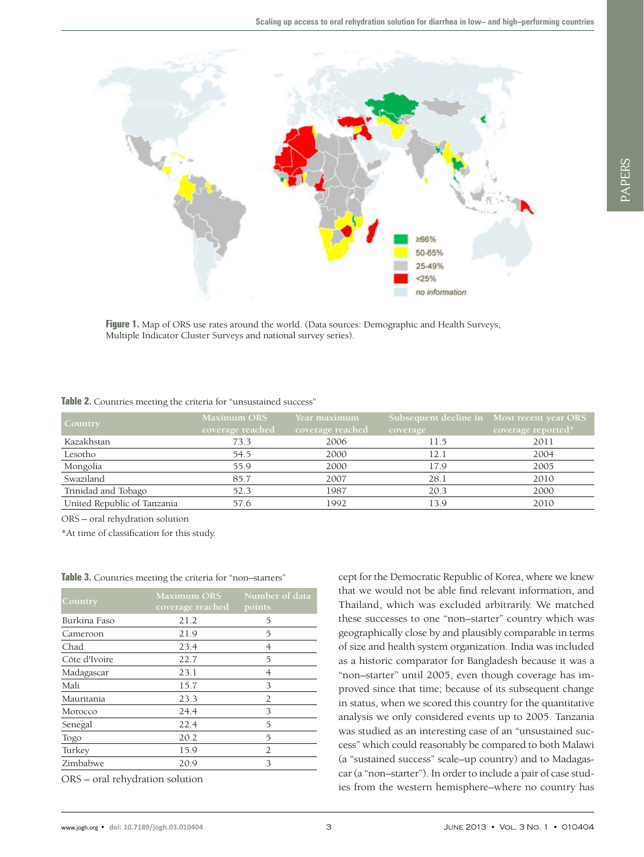

**Figure 1.** Map of ORS use rates around the world. (Data sources: Demographic and Health Surveys, Multiple Indicator Cluster Surveys and national survey series).

|  |  |  |  |  |  | Table 2. Countries meeting the criteria for "unsustained success" |  |
|--|--|--|--|--|--|-------------------------------------------------------------------|--|
|--|--|--|--|--|--|-------------------------------------------------------------------|--|

| <b>Country</b>              | <b>Maximum ORS</b> | Year maximum     |          | Subsequent decline in Most recent year ORS |
|-----------------------------|--------------------|------------------|----------|--------------------------------------------|
|                             | coverage reached   | coverage reached | coverage | coverage reported*                         |
| Kazakhstan                  | 73.3               | 2006             | 11.5     | 2011                                       |
| Lesotho                     | 54.5               | 2000             | 12.1     | 2004                                       |
| Mongolia                    | 55.9               | 2000             | 17.9     | 2005                                       |
| Swaziland                   | 85.7               | 2007             | 28.1     | 2010                                       |
| Trinidad and Tobago         | 52.3               | 1987             | 20.3     | 2000                                       |
| United Republic of Tanzania | 57.6               | 1992             | 13.9     | 2010                                       |

ORS – oral rehydration solution

\*At time of classification for this study.

| Country       | <b>Maximum ORS</b><br>coverage reached | Number of data<br>points |
|---------------|----------------------------------------|--------------------------|
| Burkina Faso  | 21.2                                   | 5                        |
| Cameroon      | 21.9                                   | 5                        |
| Chad          | 23.4                                   | 4                        |
| Côte d'Ivoire | 22.7                                   | 5                        |
| Madagascar    | 23.1                                   | 4                        |
| Mali          | 15.7                                   | 3                        |
| Mauritania    | 23.3                                   | 2                        |
| Morocco       | 24.4                                   | 3                        |
| Senegal       | 22.4                                   | 5                        |
| Togo          | 20.2                                   | 5                        |
| Turkey        | 15.9                                   | 2                        |
| Zimbabwe      | 20.9                                   | 3                        |

Table 3. Countries meeting the criteria for "non-starters"

ORS – oral rehydration solution

cept for the Democratic Republic of Korea, where we knew that we would not be able find relevant information, and Thailand, which was excluded arbitrarily. We matched these successes to one "non–starter" country which was geographically close by and plausibly comparable in terms of size and health system organization. India was included as a historic comparator for Bangladesh because it was a "non–starter" until 2005, even though coverage has improved since that time; because of its subsequent change in status, when we scored this country for the quantitative analysis we only considered events up to 2005. Tanzania was studied as an interesting case of an "unsustained success" which could reasonably be compared to both Malawi (a "sustained success" scale–up country) and to Madagascar (a "non–starter"). In order to include a pair of case studies from the western hemisphere–where no country has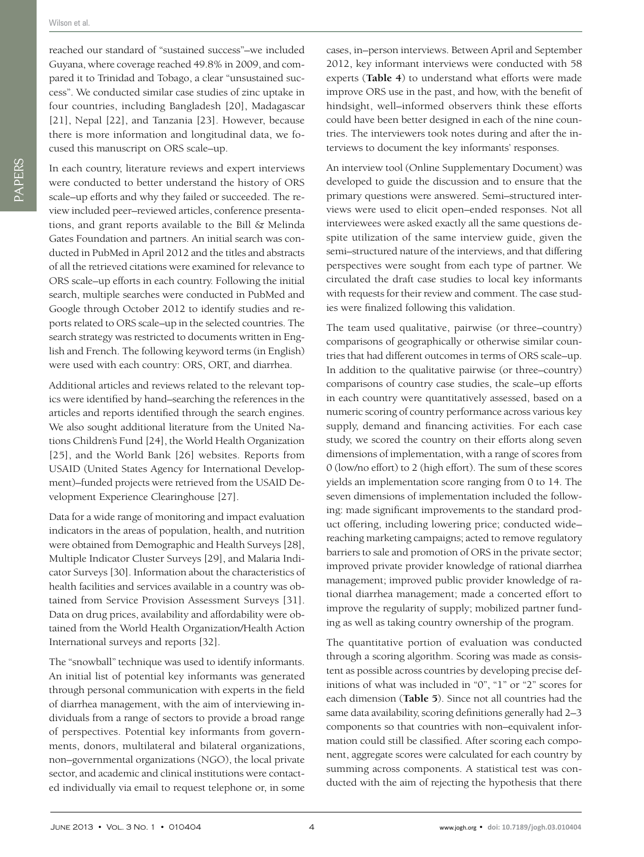reached our standard of "sustained success"–we included Guyana, where coverage reached 49.8% in 2009, and compared it to Trinidad and Tobago, a clear "unsustained success". We conducted similar case studies of zinc uptake in four countries, including Bangladesh [20], Madagascar [21], Nepal [22], and Tanzania [23]. However, because there is more information and longitudinal data, we focused this manuscript on ORS scale–up.

In each country, literature reviews and expert interviews were conducted to better understand the history of ORS scale–up efforts and why they failed or succeeded. The review included peer–reviewed articles, conference presentations, and grant reports available to the Bill & Melinda Gates Foundation and partners. An initial search was conducted in PubMed in April 2012 and the titles and abstracts of all the retrieved citations were examined for relevance to ORS scale–up efforts in each country. Following the initial search, multiple searches were conducted in PubMed and Google through October 2012 to identify studies and reports related to ORS scale–up in the selected countries. The search strategy was restricted to documents written in English and French. The following keyword terms (in English) were used with each country: ORS, ORT, and diarrhea.

Additional articles and reviews related to the relevant topics were identified by hand–searching the references in the articles and reports identified through the search engines. We also sought additional literature from the United Nations Children's Fund [24], the World Health Organization [25], and the World Bank [26] websites. Reports from USAID (United States Agency for International Development)–funded projects were retrieved from the USAID Development Experience Clearinghouse [27].

Data for a wide range of monitoring and impact evaluation indicators in the areas of population, health, and nutrition were obtained from Demographic and Health Surveys [28], Multiple Indicator Cluster Surveys [29], and Malaria Indicator Surveys [30]. Information about the characteristics of health facilities and services available in a country was obtained from Service Provision Assessment Surveys [31]. Data on drug prices, availability and affordability were obtained from the World Health Organization/Health Action International surveys and reports [32].

The "snowball" technique was used to identify informants. An initial list of potential key informants was generated through personal communication with experts in the field of diarrhea management, with the aim of interviewing individuals from a range of sectors to provide a broad range of perspectives. Potential key informants from governments, donors, multilateral and bilateral organizations, non–governmental organizations (NGO), the local private sector, and academic and clinical institutions were contacted individually via email to request telephone or, in some cases, in–person interviews. Between April and September 2012, key informant interviews were conducted with 58 experts (**Table 4**) to understand what efforts were made improve ORS use in the past, and how, with the benefit of hindsight, well–informed observers think these efforts could have been better designed in each of the nine countries. The interviewers took notes during and after the interviews to document the key informants' responses.

An interview tool (Online Supplementary Document) was developed to guide the discussion and to ensure that the primary questions were answered. Semi–structured interviews were used to elicit open–ended responses. Not all interviewees were asked exactly all the same questions despite utilization of the same interview guide, given the semi–structured nature of the interviews, and that differing perspectives were sought from each type of partner. We circulated the draft case studies to local key informants with requests for their review and comment. The case studies were finalized following this validation.

The team used qualitative, pairwise (or three–country) comparisons of geographically or otherwise similar countries that had different outcomes in terms of ORS scale–up. In addition to the qualitative pairwise (or three–country) comparisons of country case studies, the scale–up efforts in each country were quantitatively assessed, based on a numeric scoring of country performance across various key supply, demand and financing activities. For each case study, we scored the country on their efforts along seven dimensions of implementation, with a range of scores from 0 (low/no effort) to 2 (high effort). The sum of these scores yields an implementation score ranging from 0 to 14. The seven dimensions of implementation included the following: made significant improvements to the standard product offering, including lowering price; conducted wide– reaching marketing campaigns; acted to remove regulatory barriers to sale and promotion of ORS in the private sector; improved private provider knowledge of rational diarrhea management; improved public provider knowledge of rational diarrhea management; made a concerted effort to improve the regularity of supply; mobilized partner funding as well as taking country ownership of the program.

The quantitative portion of evaluation was conducted through a scoring algorithm. Scoring was made as consistent as possible across countries by developing precise definitions of what was included in "0", "1" or "2" scores for each dimension (**Table 5**). Since not all countries had the same data availability, scoring definitions generally had 2–3 components so that countries with non–equivalent information could still be classified. After scoring each component, aggregate scores were calculated for each country by summing across components. A statistical test was conducted with the aim of rejecting the hypothesis that there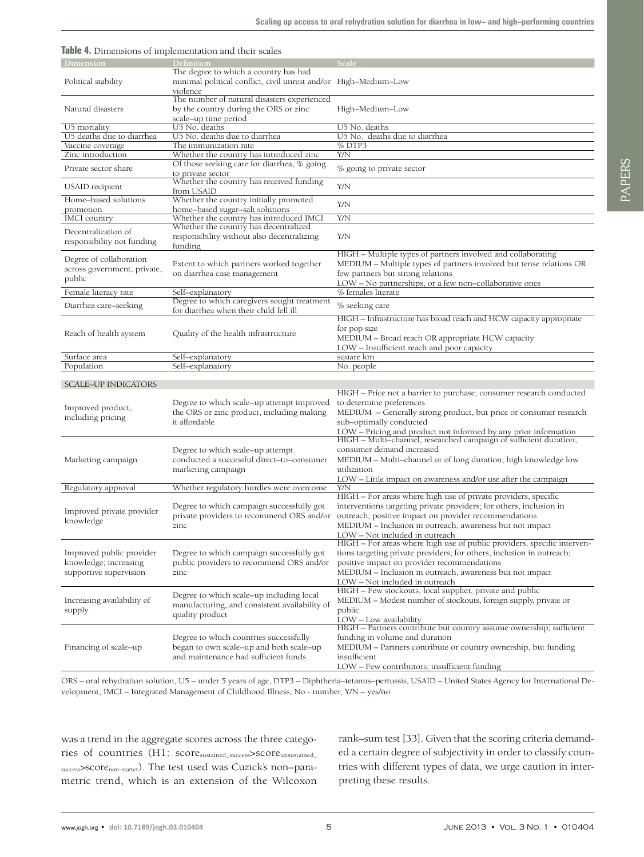| <b>Table 4.</b> Dimensions of implementation and their scales               |                                                                                                                           |                                                                                                                                                                                                                                                                                              |
|-----------------------------------------------------------------------------|---------------------------------------------------------------------------------------------------------------------------|----------------------------------------------------------------------------------------------------------------------------------------------------------------------------------------------------------------------------------------------------------------------------------------------|
| Dimension                                                                   | <b>Definition</b>                                                                                                         | Scale                                                                                                                                                                                                                                                                                        |
| Political stability                                                         | The degree to which a country has had<br>minimal political conflict, civil unrest and/or High-Medium-Low<br>violence      |                                                                                                                                                                                                                                                                                              |
| Natural disasters                                                           | The number of natural disasters experienced<br>by the country during the ORS or zinc<br>scale-up time period              | High-Medium-Low                                                                                                                                                                                                                                                                              |
| U5 mortality                                                                | U5 No. deaths                                                                                                             | U5 No. deaths                                                                                                                                                                                                                                                                                |
| U5 deaths due to diarrhea                                                   | U5 No. deaths due to diarrhea                                                                                             | U5 No. deaths due to diarrhea                                                                                                                                                                                                                                                                |
| Vaccine coverage<br>Zinc introduction                                       | The immunization rate                                                                                                     | % DTP3<br>Y/N                                                                                                                                                                                                                                                                                |
|                                                                             | Whether the country has introduced zinc<br>Of those seeking care for diarrhea, % going                                    |                                                                                                                                                                                                                                                                                              |
| Private sector share                                                        | to private sector<br>Whether the country has received funding                                                             | % going to private sector                                                                                                                                                                                                                                                                    |
| USAID recipient                                                             | from USAID<br>Whether the country initially promoted                                                                      | Y/N                                                                                                                                                                                                                                                                                          |
| Home-based solutions                                                        | home-based sugar-salt solutions                                                                                           | Y/N                                                                                                                                                                                                                                                                                          |
| promotion<br><b>IMCI</b> country                                            | Whether the country has introduced IMCI                                                                                   | Y/N                                                                                                                                                                                                                                                                                          |
|                                                                             | Whether the country has decentralized                                                                                     |                                                                                                                                                                                                                                                                                              |
| Decentralization of                                                         | responsibility without also decentralizing                                                                                | Y/N                                                                                                                                                                                                                                                                                          |
| responsibility not funding                                                  | funding                                                                                                                   |                                                                                                                                                                                                                                                                                              |
| Degree of collaboration<br>across government, private,<br>public            | Extent to which partners worked together<br>on diarrhea case management                                                   | HIGH - Multiple types of partners involved and collaborating<br>MEDIUM - Multiple types of partners involved but tense relations OR<br>few partners but strong relations<br>LOW - No partnerships, or a few non-collaborative ones                                                           |
| Female literacy rate                                                        | Self-explanatory                                                                                                          | % females literate                                                                                                                                                                                                                                                                           |
| Diarrhea care-seeking                                                       | Degree to which caregivers sought treatment<br>for diarrhea when their child fell ill                                     | % seeking care                                                                                                                                                                                                                                                                               |
| Reach of health system                                                      | Quality of the health infrastructure                                                                                      | HIGH - Infrastructure has broad reach and HCW capacity appropriate<br>for pop size<br>MEDIUM - Broad reach OR appropriate HCW capacity<br>LOW - Insufficient reach and poor capacity                                                                                                         |
| Surface area                                                                | Self-explanatory                                                                                                          | square km                                                                                                                                                                                                                                                                                    |
|                                                                             |                                                                                                                           |                                                                                                                                                                                                                                                                                              |
| Population                                                                  | Self-explanatory                                                                                                          | No. people                                                                                                                                                                                                                                                                                   |
|                                                                             |                                                                                                                           |                                                                                                                                                                                                                                                                                              |
| SCALE-UP INDICATORS                                                         |                                                                                                                           |                                                                                                                                                                                                                                                                                              |
| Improved product,<br>including pricing                                      | Degree to which scale–up attempt improved<br>the ORS or zinc product, including making<br>it affordable                   | HIGH – Price not a barrier to purchase; consumer research conducted<br>to determine preferences<br>MEDIUM - Generally strong product, but price or consumer research<br>sub-optimally conducted<br>LOW - Pricing and product not informed by any prior information                           |
| Marketing campaign                                                          | Degree to which scale–up attempt<br>conducted a successful direct-to-consumer<br>marketing campaign                       | HIGH - Multi-channel, researched campaign of sufficient duration;<br>consumer demand increased<br>MEDIUM – Multi–channel or of long duration; high knowledge low<br>utilization                                                                                                              |
| Regulatory approval                                                         | Whether regulatory hurdles were overcome                                                                                  | LOW - Little impact on awareness and/or use after the campaign<br>Y/N                                                                                                                                                                                                                        |
| Improved private provider<br>knowledge                                      | Degree to which campaign successfully got<br>private providers to recommend ORS and/or<br>zinc                            | HIGH - For areas where high use of private providers, specific<br>interventions targeting private providers; for others, inclusion in<br>outreach; positive impact on provider recommendations<br>MEDIUM - Inclusion in outreach, awareness but not impact<br>LOW - Not included in outreach |
| Improved public provider<br>knowledge; increasing<br>supportive supervision | Degree to which campaign successfully got<br>public providers to recommend ORS and/or<br>zinc                             | HIGH - For areas where high use of public providers, specific interven-<br>tions targeting private providers; for others, inclusion in outreach;<br>positive impact on provider recommendations<br>MEDIUM - Inclusion in outreach, awareness but not impact                                  |
| Increasing availability of<br>supply                                        | Degree to which scale-up including local<br>manufacturing, and consistent availability of<br>quality product              | LOW – Not included in outreach<br>HIGH - Few stockouts, local supplier, private and public<br>MEDIUM – Modest number of stockouts, foreign supply, private or<br>public<br>LOW - Low availability                                                                                            |
| Financing of scale–up                                                       | Degree to which countries successfully<br>began to own scale-up and both scale-up<br>and maintenance had sufficient funds | HIGH - Partners contribute but country assume ownership; sufficient<br>funding in volume and duration<br>MEDIUM – Partners contribute or country ownership, but funding<br>insufficient<br>LOW – Few contributors; insufficient funding                                                      |

ORS – oral rehydration solution, U5 – under 5 years of age, DTP3 – Diphtheria–tetanus–pertussis, USAID – United States Agency for International Development, IMCI – Integrated Management of Childhood Illness, No.- number, Y/N – yes/no

was a trend in the aggregate scores across the three categories of countries (H1: score<sub>sustained\_success</sub>>score<sub>unsustained\_</sub> success>SCOTe<sub>non-starter</sub>). The test used was Cuzick's non-parametric trend, which is an extension of the Wilcoxon rank–sum test [33]. Given that the scoring criteria demanded a certain degree of subjectivity in order to classify countries with different types of data, we urge caution in interpreting these results.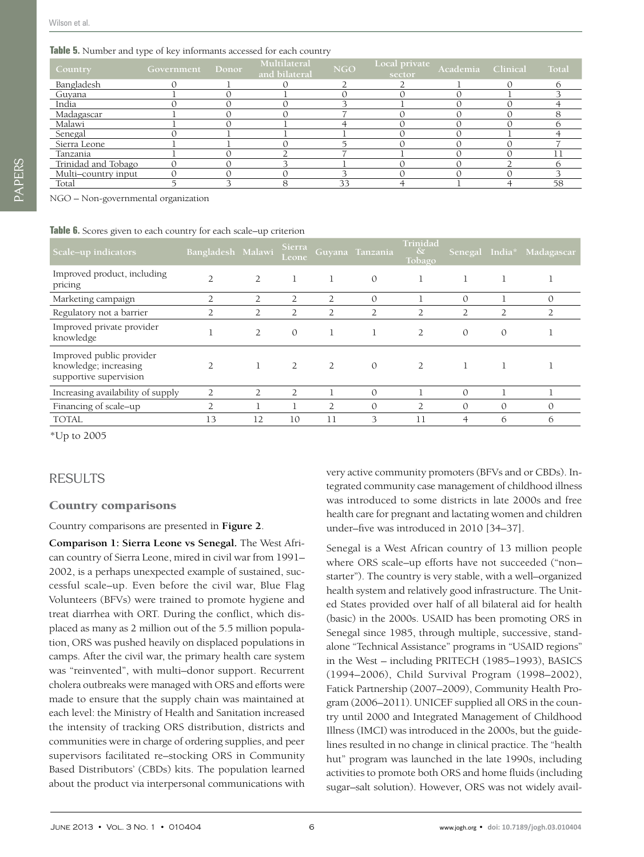#### **Table 5.** Number and type of key informants accessed for each country

| Country             | <b>Government</b> | Donor | Multilateral<br>and bilateral | <b>NGO</b> | Local private<br>sector | Academia Clinical | Total |
|---------------------|-------------------|-------|-------------------------------|------------|-------------------------|-------------------|-------|
| Bangladesh          |                   |       |                               |            |                         |                   |       |
| Guyana              |                   |       |                               |            |                         |                   |       |
| India               |                   |       |                               |            |                         |                   |       |
| Madagascar          |                   |       |                               |            |                         |                   |       |
| Malawi              |                   |       |                               |            |                         |                   |       |
| Senegal             |                   |       |                               |            |                         |                   |       |
| Sierra Leone        |                   |       |                               |            |                         |                   |       |
| Tanzania            |                   |       |                               |            |                         |                   |       |
| Trinidad and Tobago |                   |       |                               |            |                         |                   |       |
| Multi-country input |                   |       |                               |            |                         |                   |       |
| Total               |                   |       |                               | 33         |                         |                   | 58    |

NGO – Non-governmental organization

#### **Table 6.** Scores given to each country for each scale–up criterion

| Scale-up indicators                                                         | Bangladesh Malawi |                | Sierra<br>Leone |                | Guyana Tanzania | Trinidad<br>$\delta$<br>Tobago |               |               | Senegal India* Madagascar |
|-----------------------------------------------------------------------------|-------------------|----------------|-----------------|----------------|-----------------|--------------------------------|---------------|---------------|---------------------------|
| Improved product, including<br>pricing                                      |                   | $\overline{2}$ | 1               |                | $\Omega$        |                                | 1             |               |                           |
| Marketing campaign                                                          | 2                 | 2              | 2               | $\overline{2}$ | $\mathcal{O}$   |                                | $\mathcal{O}$ |               | $\mathcal{O}$             |
| Regulatory not a barrier                                                    | 2                 | $\overline{2}$ | 2               |                |                 |                                | 2             |               |                           |
| Improved private provider<br>knowledge                                      |                   | $\overline{2}$ | $\mathcal{O}$   |                |                 | $\overline{2}$                 | $\mathcal{O}$ | $\mathcal{O}$ |                           |
| Improved public provider<br>knowledge; increasing<br>supportive supervision | $\overline{2}$    |                | 2               | 2              | $\theta$        |                                | 1             |               |                           |
| Increasing availability of supply                                           | 2                 | $\overline{2}$ | 2               |                | $\Omega$        |                                | $\Omega$      |               |                           |
| Financing of scale-up                                                       | $\overline{2}$    |                |                 | $\overline{2}$ | $\Omega$        | $\overline{2}$                 | $\Omega$      | $\Omega$      | $\mathcal{O}$             |
| <b>TOTAL</b>                                                                | 13                | 12             | 10              | 11             | 3               | 11                             | 4             | 6             | 6                         |

\*Up to 2005

## RESULTS

#### Country comparisons

Country comparisons are presented in **Figure 2**.

**Comparison 1: Sierra Leone vs Senegal.** The West African country of Sierra Leone, mired in civil war from 1991– 2002, is a perhaps unexpected example of sustained, successful scale–up. Even before the civil war, Blue Flag Volunteers (BFVs) were trained to promote hygiene and treat diarrhea with ORT. During the conflict, which displaced as many as 2 million out of the 5.5 million population, ORS was pushed heavily on displaced populations in camps. After the civil war, the primary health care system was "reinvented", with multi–donor support. Recurrent cholera outbreaks were managed with ORS and efforts were made to ensure that the supply chain was maintained at each level: the Ministry of Health and Sanitation increased the intensity of tracking ORS distribution, districts and communities were in charge of ordering supplies, and peer supervisors facilitated re–stocking ORS in Community Based Distributors' (CBDs) kits. The population learned about the product via interpersonal communications with

very active community promoters (BFVs and or CBDs). Integrated community case management of childhood illness was introduced to some districts in late 2000s and free health care for pregnant and lactating women and children under–five was introduced in 2010 [34–37].

Senegal is a West African country of 13 million people where ORS scale–up efforts have not succeeded ("non– starter"). The country is very stable, with a well–organized health system and relatively good infrastructure. The United States provided over half of all bilateral aid for health (basic) in the 2000s. USAID has been promoting ORS in Senegal since 1985, through multiple, successive, standalone "Technical Assistance" programs in "USAID regions" in the West – including PRITECH (1985–1993), BASICS (1994–2006), Child Survival Program (1998–2002), Fatick Partnership (2007–2009), Community Health Program (2006–2011). UNICEF supplied all ORS in the country until 2000 and Integrated Management of Childhood Illness (IMCI) was introduced in the 2000s, but the guidelines resulted in no change in clinical practice. The "health hut" program was launched in the late 1990s, including activities to promote both ORS and home fluids (including sugar–salt solution). However, ORS was not widely avail-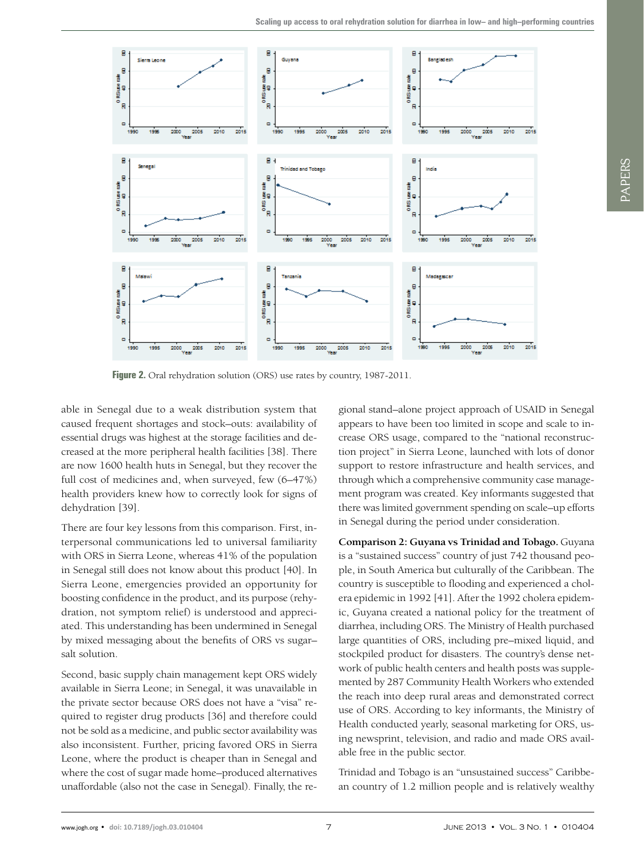

Figure 2. Oral rehydration solution (ORS) use rates by country, 1987-2011.

able in Senegal due to a weak distribution system that caused frequent shortages and stock–outs: availability of essential drugs was highest at the storage facilities and decreased at the more peripheral health facilities [38]. There are now 1600 health huts in Senegal, but they recover the full cost of medicines and, when surveyed, few (6–47%) health providers knew how to correctly look for signs of dehydration [39].

There are four key lessons from this comparison. First, interpersonal communications led to universal familiarity with ORS in Sierra Leone, whereas 41% of the population in Senegal still does not know about this product [40]. In Sierra Leone, emergencies provided an opportunity for boosting confidence in the product, and its purpose (rehydration, not symptom relief) is understood and appreciated. This understanding has been undermined in Senegal by mixed messaging about the benefits of ORS vs sugar– salt solution.

Second, basic supply chain management kept ORS widely available in Sierra Leone; in Senegal, it was unavailable in the private sector because ORS does not have a "visa" required to register drug products [36] and therefore could not be sold as a medicine, and public sector availability was also inconsistent. Further, pricing favored ORS in Sierra Leone, where the product is cheaper than in Senegal and where the cost of sugar made home–produced alternatives unaffordable (also not the case in Senegal). Finally, the re-

gional stand–alone project approach of USAID in Senegal appears to have been too limited in scope and scale to increase ORS usage, compared to the "national reconstruction project" in Sierra Leone, launched with lots of donor support to restore infrastructure and health services, and through which a comprehensive community case management program was created. Key informants suggested that there was limited government spending on scale–up efforts in Senegal during the period under consideration.

**Comparison 2: Guyana vs Trinidad and Tobago.** Guyana is a "sustained success" country of just 742 thousand people, in South America but culturally of the Caribbean. The country is susceptible to flooding and experienced a cholera epidemic in 1992 [41]. After the 1992 cholera epidemic, Guyana created a national policy for the treatment of diarrhea, including ORS. The Ministry of Health purchased large quantities of ORS, including pre–mixed liquid, and stockpiled product for disasters. The country's dense network of public health centers and health posts was supplemented by 287 Community Health Workers who extended the reach into deep rural areas and demonstrated correct use of ORS. According to key informants, the Ministry of Health conducted yearly, seasonal marketing for ORS, using newsprint, television, and radio and made ORS available free in the public sector.

Trinidad and Tobago is an "unsustained success" Caribbean country of 1.2 million people and is relatively wealthy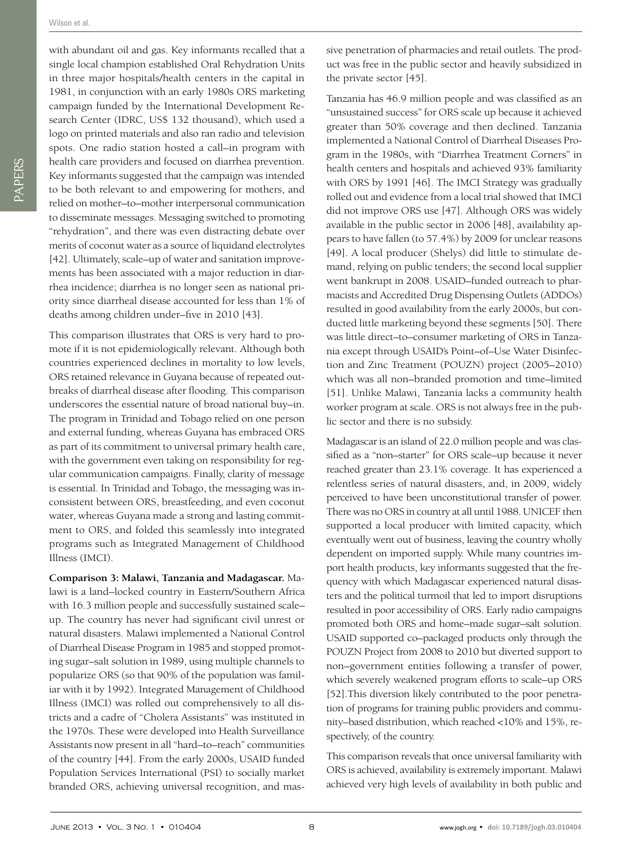with abundant oil and gas. Key informants recalled that a single local champion established Oral Rehydration Units in three major hospitals/health centers in the capital in 1981, in conjunction with an early 1980s ORS marketing campaign funded by the International Development Research Center (IDRC, US\$ 132 thousand), which used a logo on printed materials and also ran radio and television spots. One radio station hosted a call–in program with health care providers and focused on diarrhea prevention. Key informants suggested that the campaign was intended to be both relevant to and empowering for mothers, and relied on mother–to–mother interpersonal communication to disseminate messages. Messaging switched to promoting "rehydration", and there was even distracting debate over merits of coconut water as a source of liquidand electrolytes [42]. Ultimately, scale–up of water and sanitation improvements has been associated with a major reduction in diarrhea incidence; diarrhea is no longer seen as national priority since diarrheal disease accounted for less than 1% of deaths among children under–five in 2010 [43].

This comparison illustrates that ORS is very hard to promote if it is not epidemiologically relevant. Although both countries experienced declines in mortality to low levels, ORS retained relevance in Guyana because of repeated outbreaks of diarrheal disease after flooding. This comparison underscores the essential nature of broad national buy–in. The program in Trinidad and Tobago relied on one person and external funding, whereas Guyana has embraced ORS as part of its commitment to universal primary health care, with the government even taking on responsibility for regular communication campaigns. Finally, clarity of message is essential. In Trinidad and Tobago, the messaging was inconsistent between ORS, breastfeeding, and even coconut water, whereas Guyana made a strong and lasting commitment to ORS, and folded this seamlessly into integrated programs such as Integrated Management of Childhood Illness (IMCI).

**Comparison 3: Malawi, Tanzania and Madagascar.** Malawi is a land–locked country in Eastern/Southern Africa with 16.3 million people and successfully sustained scale– up. The country has never had significant civil unrest or natural disasters. Malawi implemented a National Control of Diarrheal Disease Program in 1985 and stopped promoting sugar–salt solution in 1989, using multiple channels to popularize ORS (so that 90% of the population was familiar with it by 1992). Integrated Management of Childhood Illness (IMCI) was rolled out comprehensively to all districts and a cadre of "Cholera Assistants" was instituted in the 1970s. These were developed into Health Surveillance Assistants now present in all "hard–to–reach" communities of the country [44]. From the early 2000s, USAID funded Population Services International (PSI) to socially market branded ORS, achieving universal recognition, and massive penetration of pharmacies and retail outlets. The product was free in the public sector and heavily subsidized in the private sector [45].

Tanzania has 46.9 million people and was classified as an "unsustained success" for ORS scale up because it achieved greater than 50% coverage and then declined. Tanzania implemented a National Control of Diarrheal Diseases Program in the 1980s, with "Diarrhea Treatment Corners" in health centers and hospitals and achieved 93% familiarity with ORS by 1991 [46]. The IMCI Strategy was gradually rolled out and evidence from a local trial showed that IMCI did not improve ORS use [47]. Although ORS was widely available in the public sector in 2006 [48], availability appears to have fallen (to 57.4%) by 2009 for unclear reasons [49]. A local producer (Shelys) did little to stimulate demand, relying on public tenders; the second local supplier went bankrupt in 2008. USAID–funded outreach to pharmacists and Accredited Drug Dispensing Outlets (ADDOs) resulted in good availability from the early 2000s, but conducted little marketing beyond these segments [50]. There was little direct–to–consumer marketing of ORS in Tanzania except through USAID's Point–of–Use Water Disinfection and Zinc Treatment (POUZN) project (2005–2010) which was all non–branded promotion and time–limited [51]. Unlike Malawi, Tanzania lacks a community health worker program at scale. ORS is not always free in the public sector and there is no subsidy.

Madagascar is an island of 22.0 million people and was classified as a "non–starter" for ORS scale–up because it never reached greater than 23.1% coverage. It has experienced a relentless series of natural disasters, and, in 2009, widely perceived to have been unconstitutional transfer of power. There was no ORS in country at all until 1988. UNICEF then supported a local producer with limited capacity, which eventually went out of business, leaving the country wholly dependent on imported supply. While many countries import health products, key informants suggested that the frequency with which Madagascar experienced natural disasters and the political turmoil that led to import disruptions resulted in poor accessibility of ORS. Early radio campaigns promoted both ORS and home–made sugar–salt solution. USAID supported co–packaged products only through the POUZN Project from 2008 to 2010 but diverted support to non–government entities following a transfer of power, which severely weakened program efforts to scale–up ORS [52].This diversion likely contributed to the poor penetration of programs for training public providers and community–based distribution, which reached <10% and 15%, respectively, of the country.

This comparison reveals that once universal familiarity with ORS is achieved, availability is extremely important. Malawi achieved very high levels of availability in both public and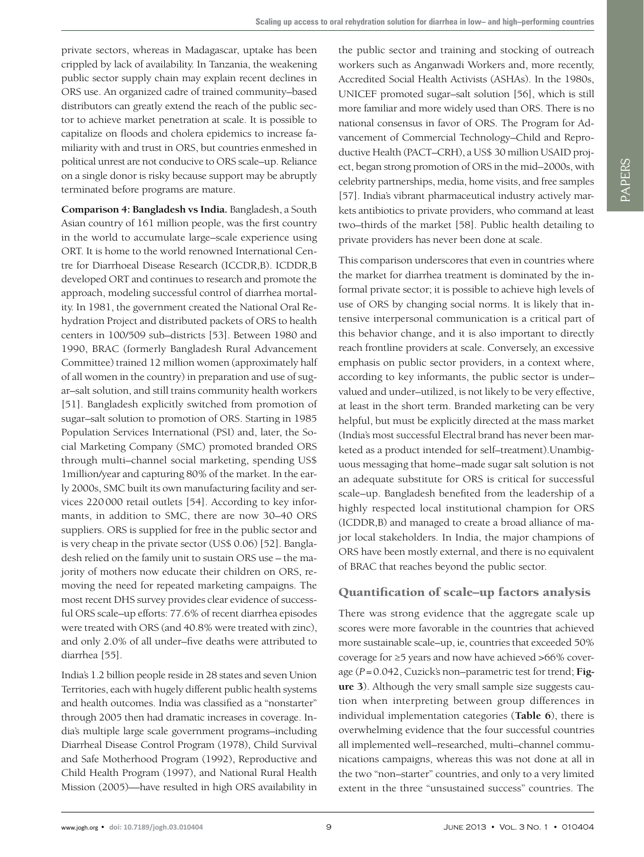private sectors, whereas in Madagascar, uptake has been crippled by lack of availability. In Tanzania, the weakening public sector supply chain may explain recent declines in ORS use. An organized cadre of trained community–based distributors can greatly extend the reach of the public sector to achieve market penetration at scale. It is possible to capitalize on floods and cholera epidemics to increase familiarity with and trust in ORS, but countries enmeshed in political unrest are not conducive to ORS scale–up. Reliance on a single donor is risky because support may be abruptly terminated before programs are mature.

**Comparison 4: Bangladesh vs India.** Bangladesh, a South Asian country of 161 million people, was the first country in the world to accumulate large–scale experience using ORT. It is home to the world renowned International Centre for Diarrhoeal Disease Research (ICCDR,B). ICDDR,B developed ORT and continues to research and promote the approach, modeling successful control of diarrhea mortality. In 1981, the government created the National Oral Rehydration Project and distributed packets of ORS to health centers in 100/509 sub–districts [53]. Between 1980 and 1990, BRAC (formerly Bangladesh Rural Advancement Committee) trained 12 million women (approximately half of all women in the country) in preparation and use of sugar–salt solution, and still trains community health workers [51]. Bangladesh explicitly switched from promotion of sugar–salt solution to promotion of ORS. Starting in 1985 Population Services International (PSI) and, later, the Social Marketing Company (SMC) promoted branded ORS through multi–channel social marketing, spending US\$ 1million/year and capturing 80% of the market. In the early 2000s, SMC built its own manufacturing facility and services 220000 retail outlets [54]. According to key informants, in addition to SMC, there are now 30–40 ORS suppliers. ORS is supplied for free in the public sector and is very cheap in the private sector (US\$ 0.06) [52]. Bangladesh relied on the family unit to sustain ORS use – the majority of mothers now educate their children on ORS, removing the need for repeated marketing campaigns. The most recent DHS survey provides clear evidence of successful ORS scale–up efforts: 77.6% of recent diarrhea episodes were treated with ORS (and 40.8% were treated with zinc), and only 2.0% of all under–five deaths were attributed to diarrhea [55].

India's 1.2 billion people reside in 28 states and seven Union Territories, each with hugely different public health systems and health outcomes. India was classified as a "nonstarter" through 2005 then had dramatic increases in coverage. India's multiple large scale government programs–including Diarrheal Disease Control Program (1978), Child Survival and Safe Motherhood Program (1992), Reproductive and Child Health Program (1997), and National Rural Health Mission (2005)—have resulted in high ORS availability in the public sector and training and stocking of outreach workers such as Anganwadi Workers and, more recently, Accredited Social Health Activists (ASHAs). In the 1980s, UNICEF promoted sugar–salt solution [56], which is still more familiar and more widely used than ORS. There is no national consensus in favor of ORS. The Program for Advancement of Commercial Technology–Child and Reproductive Health (PACT–CRH), a US\$ 30 million USAID project, began strong promotion of ORS in the mid–2000s, with celebrity partnerships, media, home visits, and free samples [57]. India's vibrant pharmaceutical industry actively markets antibiotics to private providers, who command at least two–thirds of the market [58]. Public health detailing to private providers has never been done at scale.

This comparison underscores that even in countries where the market for diarrhea treatment is dominated by the informal private sector; it is possible to achieve high levels of use of ORS by changing social norms. It is likely that intensive interpersonal communication is a critical part of this behavior change, and it is also important to directly reach frontline providers at scale. Conversely, an excessive emphasis on public sector providers, in a context where, according to key informants, the public sector is under– valued and under–utilized, is not likely to be very effective, at least in the short term. Branded marketing can be very helpful, but must be explicitly directed at the mass market (India's most successful Electral brand has never been marketed as a product intended for self–treatment).Unambiguous messaging that home–made sugar salt solution is not an adequate substitute for ORS is critical for successful scale–up. Bangladesh benefited from the leadership of a highly respected local institutional champion for ORS (ICDDR,B) and managed to create a broad alliance of major local stakeholders. In India, the major champions of ORS have been mostly external, and there is no equivalent of BRAC that reaches beyond the public sector.

### Quantification of scale–up factors analysis

There was strong evidence that the aggregate scale up scores were more favorable in the countries that achieved more sustainable scale–up, ie, countries that exceeded 50% coverage for ≥5 years and now have achieved >66% coverage (*P*=0.042, Cuzick's non–parametric test for trend; **Figure 3**). Although the very small sample size suggests caution when interpreting between group differences in individual implementation categories (**Table 6**), there is overwhelming evidence that the four successful countries all implemented well–researched, multi–channel communications campaigns, whereas this was not done at all in the two "non–starter" countries, and only to a very limited extent in the three "unsustained success" countries. The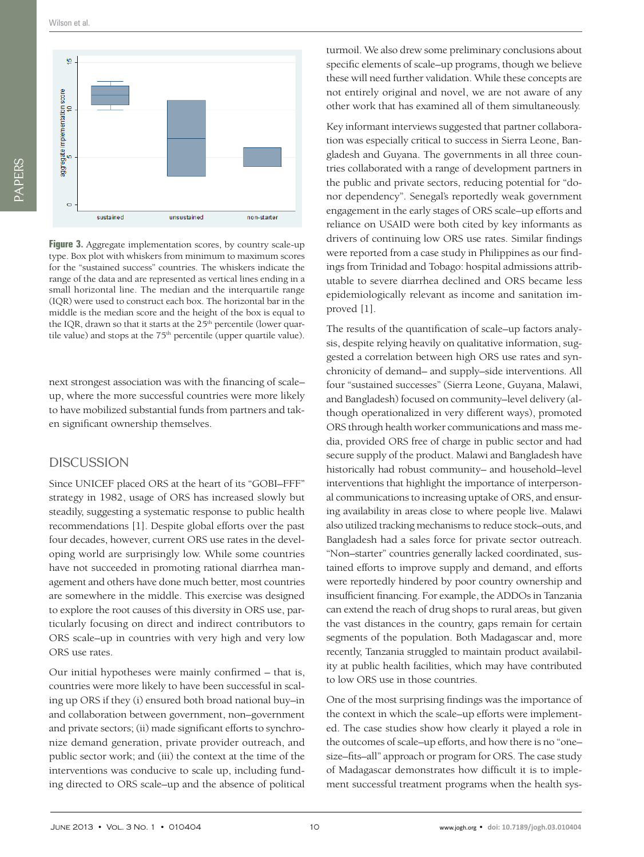Wilson et al.



**Figure 3.** Aggregate implementation scores, by country scale-up type. Box plot with whiskers from minimum to maximum scores for the "sustained success" countries. The whiskers indicate the range of the data and are represented as vertical lines ending in a small horizontal line. The median and the interquartile range (IQR) were used to construct each box. The horizontal bar in the middle is the median score and the height of the box is equal to the IQR, drawn so that it starts at the 25<sup>th</sup> percentile (lower quartile value) and stops at the  $75<sup>th</sup>$  percentile (upper quartile value).

next strongest association was with the financing of scale– up, where the more successful countries were more likely to have mobilized substantial funds from partners and taken significant ownership themselves.

#### DISCUSSION

Since UNICEF placed ORS at the heart of its "GOBI–FFF" strategy in 1982, usage of ORS has increased slowly but steadily, suggesting a systematic response to public health recommendations [1]. Despite global efforts over the past four decades, however, current ORS use rates in the developing world are surprisingly low. While some countries have not succeeded in promoting rational diarrhea management and others have done much better, most countries are somewhere in the middle. This exercise was designed to explore the root causes of this diversity in ORS use, particularly focusing on direct and indirect contributors to ORS scale–up in countries with very high and very low ORS use rates.

Our initial hypotheses were mainly confirmed – that is, countries were more likely to have been successful in scaling up ORS if they (i) ensured both broad national buy–in and collaboration between government, non–government and private sectors; (ii) made significant efforts to synchronize demand generation, private provider outreach, and public sector work; and (iii) the context at the time of the interventions was conducive to scale up, including funding directed to ORS scale–up and the absence of political turmoil. We also drew some preliminary conclusions about specific elements of scale–up programs, though we believe these will need further validation. While these concepts are not entirely original and novel, we are not aware of any other work that has examined all of them simultaneously.

Key informant interviews suggested that partner collaboration was especially critical to success in Sierra Leone, Bangladesh and Guyana. The governments in all three countries collaborated with a range of development partners in the public and private sectors, reducing potential for "donor dependency". Senegal's reportedly weak government engagement in the early stages of ORS scale–up efforts and reliance on USAID were both cited by key informants as drivers of continuing low ORS use rates. Similar findings were reported from a case study in Philippines as our findings from Trinidad and Tobago: hospital admissions attributable to severe diarrhea declined and ORS became less epidemiologically relevant as income and sanitation improved [1].

The results of the quantification of scale–up factors analysis, despite relying heavily on qualitative information, suggested a correlation between high ORS use rates and synchronicity of demand– and supply–side interventions. All four "sustained successes" (Sierra Leone, Guyana, Malawi, and Bangladesh) focused on community–level delivery (although operationalized in very different ways), promoted ORS through health worker communications and mass media, provided ORS free of charge in public sector and had secure supply of the product. Malawi and Bangladesh have historically had robust community– and household–level interventions that highlight the importance of interpersonal communications to increasing uptake of ORS, and ensuring availability in areas close to where people live. Malawi also utilized tracking mechanisms to reduce stock–outs, and Bangladesh had a sales force for private sector outreach. "Non–starter" countries generally lacked coordinated, sustained efforts to improve supply and demand, and efforts were reportedly hindered by poor country ownership and insufficient financing. For example, the ADDOs in Tanzania can extend the reach of drug shops to rural areas, but given the vast distances in the country, gaps remain for certain segments of the population. Both Madagascar and, more recently, Tanzania struggled to maintain product availability at public health facilities, which may have contributed to low ORS use in those countries.

One of the most surprising findings was the importance of the context in which the scale–up efforts were implemented. The case studies show how clearly it played a role in the outcomes of scale–up efforts, and how there is no "one– size–fits–all" approach or program for ORS. The case study of Madagascar demonstrates how difficult it is to implement successful treatment programs when the health sys-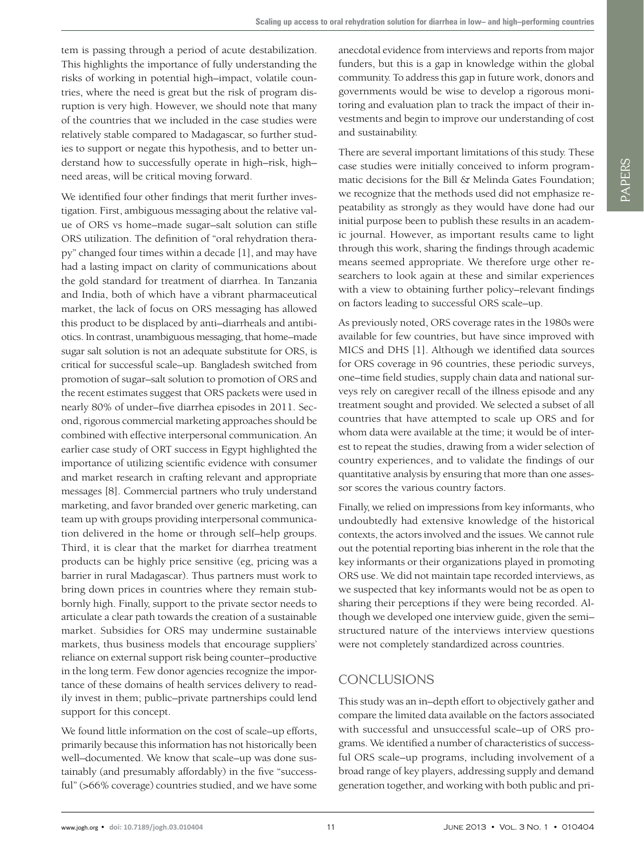tem is passing through a period of acute destabilization. This highlights the importance of fully understanding the risks of working in potential high–impact, volatile countries, where the need is great but the risk of program disruption is very high. However, we should note that many of the countries that we included in the case studies were relatively stable compared to Madagascar, so further studies to support or negate this hypothesis, and to better understand how to successfully operate in high–risk, high– need areas, will be critical moving forward.

We identified four other findings that merit further investigation. First, ambiguous messaging about the relative value of ORS vs home–made sugar–salt solution can stifle ORS utilization. The definition of "oral rehydration therapy" changed four times within a decade [1], and may have had a lasting impact on clarity of communications about the gold standard for treatment of diarrhea. In Tanzania and India, both of which have a vibrant pharmaceutical market, the lack of focus on ORS messaging has allowed this product to be displaced by anti–diarrheals and antibiotics. In contrast, unambiguous messaging, that home–made sugar salt solution is not an adequate substitute for ORS, is critical for successful scale–up. Bangladesh switched from promotion of sugar–salt solution to promotion of ORS and the recent estimates suggest that ORS packets were used in nearly 80% of under–five diarrhea episodes in 2011. Second, rigorous commercial marketing approaches should be combined with effective interpersonal communication. An earlier case study of ORT success in Egypt highlighted the importance of utilizing scientific evidence with consumer and market research in crafting relevant and appropriate messages [8]. Commercial partners who truly understand marketing, and favor branded over generic marketing, can team up with groups providing interpersonal communication delivered in the home or through self–help groups. Third, it is clear that the market for diarrhea treatment products can be highly price sensitive (eg, pricing was a barrier in rural Madagascar). Thus partners must work to bring down prices in countries where they remain stubbornly high. Finally, support to the private sector needs to articulate a clear path towards the creation of a sustainable market. Subsidies for ORS may undermine sustainable markets, thus business models that encourage suppliers' reliance on external support risk being counter–productive in the long term. Few donor agencies recognize the importance of these domains of health services delivery to readily invest in them; public–private partnerships could lend support for this concept.

We found little information on the cost of scale–up efforts, primarily because this information has not historically been well–documented. We know that scale–up was done sustainably (and presumably affordably) in the five "successful" (>66% coverage) countries studied, and we have some

anecdotal evidence from interviews and reports from major funders, but this is a gap in knowledge within the global community. To address this gap in future work, donors and governments would be wise to develop a rigorous monitoring and evaluation plan to track the impact of their investments and begin to improve our understanding of cost and sustainability.

There are several important limitations of this study. These case studies were initially conceived to inform programmatic decisions for the Bill & Melinda Gates Foundation; we recognize that the methods used did not emphasize repeatability as strongly as they would have done had our initial purpose been to publish these results in an academic journal. However, as important results came to light through this work, sharing the findings through academic means seemed appropriate. We therefore urge other researchers to look again at these and similar experiences with a view to obtaining further policy–relevant findings on factors leading to successful ORS scale–up.

As previously noted, ORS coverage rates in the 1980s were available for few countries, but have since improved with MICS and DHS [1]. Although we identified data sources for ORS coverage in 96 countries, these periodic surveys, one–time field studies, supply chain data and national surveys rely on caregiver recall of the illness episode and any treatment sought and provided. We selected a subset of all countries that have attempted to scale up ORS and for whom data were available at the time; it would be of interest to repeat the studies, drawing from a wider selection of country experiences, and to validate the findings of our quantitative analysis by ensuring that more than one assessor scores the various country factors.

Finally, we relied on impressions from key informants, who undoubtedly had extensive knowledge of the historical contexts, the actors involved and the issues. We cannot rule out the potential reporting bias inherent in the role that the key informants or their organizations played in promoting ORS use. We did not maintain tape recorded interviews, as we suspected that key informants would not be as open to sharing their perceptions if they were being recorded. Although we developed one interview guide, given the semi– structured nature of the interviews interview questions were not completely standardized across countries.

# CONCLUSIONS

This study was an in–depth effort to objectively gather and compare the limited data available on the factors associated with successful and unsuccessful scale–up of ORS programs. We identified a number of characteristics of successful ORS scale–up programs, including involvement of a broad range of key players, addressing supply and demand generation together, and working with both public and pri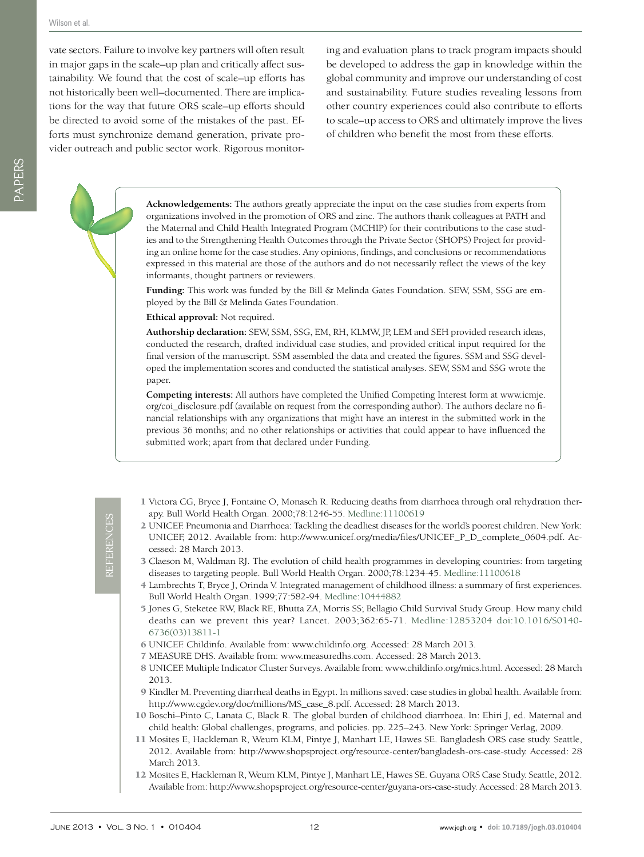PAPERS

vate sectors. Failure to involve key partners will often result in major gaps in the scale–up plan and critically affect sustainability. We found that the cost of scale–up efforts has not historically been well–documented. There are implications for the way that future ORS scale–up efforts should be directed to avoid some of the mistakes of the past. Efforts must synchronize demand generation, private provider outreach and public sector work. Rigorous monitoring and evaluation plans to track program impacts should be developed to address the gap in knowledge within the global community and improve our understanding of cost and sustainability. Future studies revealing lessons from other country experiences could also contribute to efforts to scale–up access to ORS and ultimately improve the lives of children who benefit the most from these efforts.

**Acknowledgements:** The authors greatly appreciate the input on the case studies from experts from organizations involved in the promotion of ORS and zinc. The authors thank colleagues at PATH and the Maternal and Child Health Integrated Program (MCHIP) for their contributions to the case studies and to the Strengthening Health Outcomes through the Private Sector (SHOPS) Project for providing an online home for the case studies. Any opinions, findings, and conclusions or recommendations expressed in this material are those of the authors and do not necessarily reflect the views of the key informants, thought partners or reviewers.

**Funding:** This work was funded by the Bill & Melinda Gates Foundation. SEW, SSM, SSG are employed by the Bill & Melinda Gates Foundation.

**Ethical approval:** Not required.

**Authorship declaration:** SEW, SSM, SSG, EM, RH, KLMW, JP, LEM and SEH provided research ideas, conducted the research, drafted individual case studies, and provided critical input required for the final version of the manuscript. SSM assembled the data and created the figures. SSM and SSG developed the implementation scores and conducted the statistical analyses. SEW, SSM and SSG wrote the paper.

**Competing interests:** All authors have completed the Unified Competing Interest form at www.icmje. org/coi\_disclosure.pdf (available on request from the corresponding author). The authors declare no financial relationships with any organizations that might have an interest in the submitted work in the previous 36 months; and no other relationships or activities that could appear to have influenced the submitted work; apart from that declared under Funding.

- 1 Victora CG, Bryce J, Fontaine O, Monasch R. Reducing deaths from diarrhoea through oral rehydration therapy. Bull World Health Organ. 2000;78:1246-55[. Medline:11100619](http://www.ncbi.nlm.nih.gov/entrez/query.fcgi?cmd=Retrieve&db=PubMed&list_uids=11100619&dopt=Abstract)
- 2 UNICEF. Pneumonia and Diarrhoea: Tackling the deadliest diseases for the world's poorest children. New York: UNICEF, 2012. Available from: http://www.unicef.org/media/files/UNICEF\_P\_D\_complete\_0604.pdf. Accessed: 28 March 2013.
- 3 Claeson M, Waldman RJ. The evolution of child health programmes in developing countries: from targeting diseases to targeting people. Bull World Health Organ. 2000;78:1234-45[. Medline:11100618](http://www.ncbi.nlm.nih.gov/entrez/query.fcgi?cmd=Retrieve&db=PubMed&list_uids=11100618&dopt=Abstract)
- 4 Lambrechts T, Bryce J, Orinda V. Integrated management of childhood illness: a summary of first experiences. Bull World Health Organ. 1999;77:582-94[. Medline:10444882](http://www.ncbi.nlm.nih.gov/entrez/query.fcgi?cmd=Retrieve&db=PubMed&list_uids=10444882&dopt=Abstract)
- 5 Jones G, Steketee RW, Black RE, Bhutta ZA, Morris SS; Bellagio Child Survival Study Group. How many child deaths can we prevent this year? Lancet. 2003;362:65-71[. Medline:12853204](http://www.ncbi.nlm.nih.gov/entrez/query.fcgi?cmd=Retrieve&db=PubMed&list_uids=12853204&dopt=Abstract) [doi:10.1016/S0140-](http://dx.doi.org/10.1016/S0140-6736(03)13811-1) [6736\(03\)13811-1](http://dx.doi.org/10.1016/S0140-6736(03)13811-1)
- 6 UNICEF. Childinfo. Available from: www.childinfo.org. Accessed: 28 March 2013.
- 7 MEASURE DHS. Available from: www.measuredhs.com. Accessed: 28 March 2013.
- 8 UNICEF. Multiple Indicator Cluster Surveys. Available from: www.childinfo.org/mics.html. Accessed: 28 March 2013.
- 9 Kindler M. Preventing diarrheal deaths in Egypt. In millions saved: case studies in global health. Available from: http://www.cgdev.org/doc/millions/MS\_case\_8.pdf. Accessed: 28 March 2013.
- 10 Boschi–Pinto C, Lanata C, Black R. The global burden of childhood diarrhoea. In: Ehiri J, ed. Maternal and child health: Global challenges, programs, and policies. pp. 225–243. New York: Springer Verlag, 2009.
- 11 Mosites E, Hackleman R, Weum KLM, Pintye J, Manhart LE, Hawes SE. Bangladesh ORS case study. Seattle, 2012. Available from: http://www.shopsproject.org/resource-center/bangladesh-ors-case-study. Accessed: 28 March 2013.
- 12 Mosites E, Hackleman R, Weum KLM, Pintye J, Manhart LE, Hawes SE. Guyana ORS Case Study. Seattle, 2012. Available from: http://www.shopsproject.org/resource-center/guyana-ors-case-study. Accessed: 28 March 2013.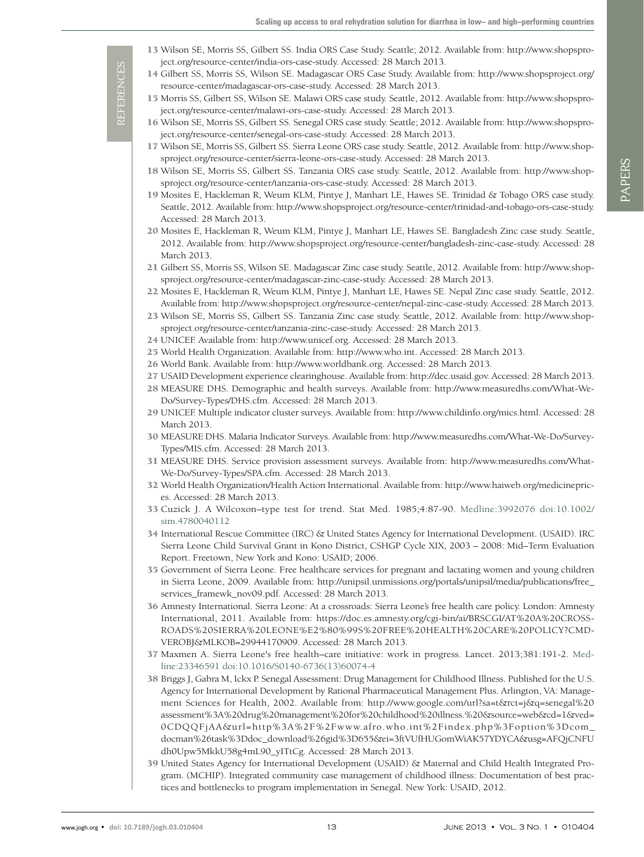- 13 Wilson SE, Morris SS, Gilbert SS. India ORS Case Study. Seattle; 2012. Available from: http://www.shopsproject.org/resource-center/india-ors-case-study. Accessed: 28 March 2013.
- 14 Gilbert SS, Morris SS, Wilson SE. Madagascar ORS Case Study. Available from: http://www.shopsproject.org/ resource-center/madagascar-ors-case-study. Accessed: 28 March 2013.
- 15 Morris SS, Gilbert SS, Wilson SE. Malawi ORS case study. Seattle, 2012. Available from: http://www.shopsproject.org/resource-center/malawi-ors-case-study. Accessed: 28 March 2013.
- 16 Wilson SE, Morris SS, Gilbert SS. Senegal ORS case study. Seattle; 2012. Available from: http://www.shopsproject.org/resource-center/senegal-ors-case-study. Accessed: 28 March 2013.
- 17 Wilson SE, Morris SS, Gilbert SS. Sierra Leone ORS case study. Seattle, 2012. Available from: http://www.shopsproject.org/resource-center/sierra-leone-ors-case-study. Accessed: 28 March 2013.
- 18 Wilson SE, Morris SS, Gilbert SS. Tanzania ORS case study. Seattle, 2012. Available from: http://www.shopsproject.org/resource-center/tanzania-ors-case-study. Accessed: 28 March 2013.
- 19 Mosites E, Hackleman R, Weum KLM, Pintye J, Manhart LE, Hawes SE. Trinidad & Tobago ORS case study. Seattle, 2012. Available from: http://www.shopsproject.org/resource-center/trinidad-and-tobago-ors-case-study. Accessed: 28 March 2013.
- 20 Mosites E, Hackleman R, Weum KLM, Pintye J, Manhart LE, Hawes SE. Bangladesh Zinc case study. Seattle, 2012. Available from: http://www.shopsproject.org/resource-center/bangladesh-zinc-case-study. Accessed: 28 March 2013.
- 21 Gilbert SS, Morris SS, Wilson SE. Madagascar Zinc case study. Seattle, 2012. Available from: http://www.shopsproject.org/resource-center/madagascar-zinc-case-study. Accessed: 28 March 2013.
- 22 Mosites E, Hackleman R, Weum KLM, Pintye J, Manhart LE, Hawes SE. Nepal Zinc case study. Seattle, 2012. Available from: http://www.shopsproject.org/resource-center/nepal-zinc-case-study. Accessed: 28 March 2013.
- 23 Wilson SE, Morris SS, Gilbert SS. Tanzania Zinc case study. Seattle, 2012. Available from: http://www.shopsproject.org/resource-center/tanzania-zinc-case-study. Accessed: 28 March 2013.
- 24 UNICEF. Available from: http://www.unicef.org. Accessed: 28 March 2013.
- 25 World Health Organization. Available from: http://www.who.int. Accessed: 28 March 2013.
- 26 World Bank. Available from: http://www.worldbank.org. Accessed: 28 March 2013.
- 27 USAID Development experience clearinghouse. Available from: http://dec.usaid.gov. Accessed: 28 March 2013.
- 28 MEASURE DHS. Demographic and health surveys. Available from: http://www.measuredhs.com/What-We-Do/Survey-Types/DHS.cfm. Accessed: 28 March 2013.
- 29 UNICEF. Multiple indicator cluster surveys. Available from: http://www.childinfo.org/mics.html. Accessed: 28 March 2013.
- 30 MEASURE DHS. Malaria Indicator Surveys. Available from: http://www.measuredhs.com/What-We-Do/Survey-Types/MIS.cfm. Accessed: 28 March 2013.
- 31 MEASURE DHS. Service provision assessment surveys. Available from: http://www.measuredhs.com/What-We-Do/Survey-Types/SPA.cfm. Accessed: 28 March 2013.
- 32 World Health Organization/Health Action International. Available from: http://www.haiweb.org/medicineprices. Accessed: 28 March 2013.
- 33 Cuzick J. A Wilcoxon–type test for trend. Stat Med. 1985;4:87-90. [Medline:3992076](http://www.ncbi.nlm.nih.gov/entrez/query.fcgi?cmd=Retrieve&db=PubMed&list_uids=3992076&dopt=Abstract) [doi:10.1002/](http://dx.doi.org/10.1002/sim.4780040112) [sim.4780040112](http://dx.doi.org/10.1002/sim.4780040112)
- 34 International Rescue Committee (IRC) & United States Agency for International Development. (USAID). IRC Sierra Leone Child Survival Grant in Kono District, CSHGP Cycle XIX, 2003 – 2008: Mid–Term Evaluation Report. Freetown, New York and Kono: USAID; 2006.
- 35 Government of Sierra Leone. Free healthcare services for pregnant and lactating women and young children in Sierra Leone, 2009. Available from: http://unipsil.unmissions.org/portals/unipsil/media/publications/free\_ services\_framewk\_nov09.pdf. Accessed: 28 March 2013.
- 36 Amnesty International. Sierra Leone: At a crossroads: Sierra Leone's free health care policy. London: Amnesty International, 2011. Available from: https://doc.es.amnesty.org/cgi-bin/ai/BRSCGI/AT%20A%20CROSS-ROADS%20SIERRA%20LEONE%E2%80%99S%20FREE%20HEALTH%20CARE%20POLICY?CMD-VEROBJ&MLKOB=29944170909. Accessed: 28 March 2013.
- 37 Maxmen A. Sierra Leone's free health–care initiative: work in progress. Lancet. 2013;381:191-2[. Med](http://www.ncbi.nlm.nih.gov/entrez/query.fcgi?cmd=Retrieve&db=PubMed&list_uids=23346591&dopt=Abstract)[line:23346591](http://www.ncbi.nlm.nih.gov/entrez/query.fcgi?cmd=Retrieve&db=PubMed&list_uids=23346591&dopt=Abstract) [doi:10.1016/S0140-6736\(13\)60074-4](http://dx.doi.org/10.1016/S0140-6736(13)60074-4)
- 38 Briggs J, Gabra M, Ickx P. Senegal Assessment: Drug Management for Childhood Illness. Published for the U.S. Agency for International Development by Rational Pharmaceutical Management Plus. Arlington, VA: Management Sciences for Health, 2002. Available from: http://www.google.com/url?sa=t&rct=j&q=senegal%20 assessment%3A%20drug%20management%20for%20childhood%20illness.%20&source=web&cd=1&ved= 0CDQQFjAA&url=http%3A%2F%2Fwww.afro.who.int%2Findex.php%3Foption%3Dcom\_ docman%26task%3Ddoc\_download%26gid%3D655&ei=3ftVUfHUGomWiAK57YDYCA&usg=AFQjCNFU dh0Upw5MkkU58g4mL90\_yITtCg. Accessed: 28 March 2013.
- 39 United States Agency for International Development (USAID) & Maternal and Child Health Integrated Program. (MCHIP). Integrated community case management of childhood illness: Documentation of best practices and bottlenecks to program implementation in Senegal. New York: USAID, 2012.